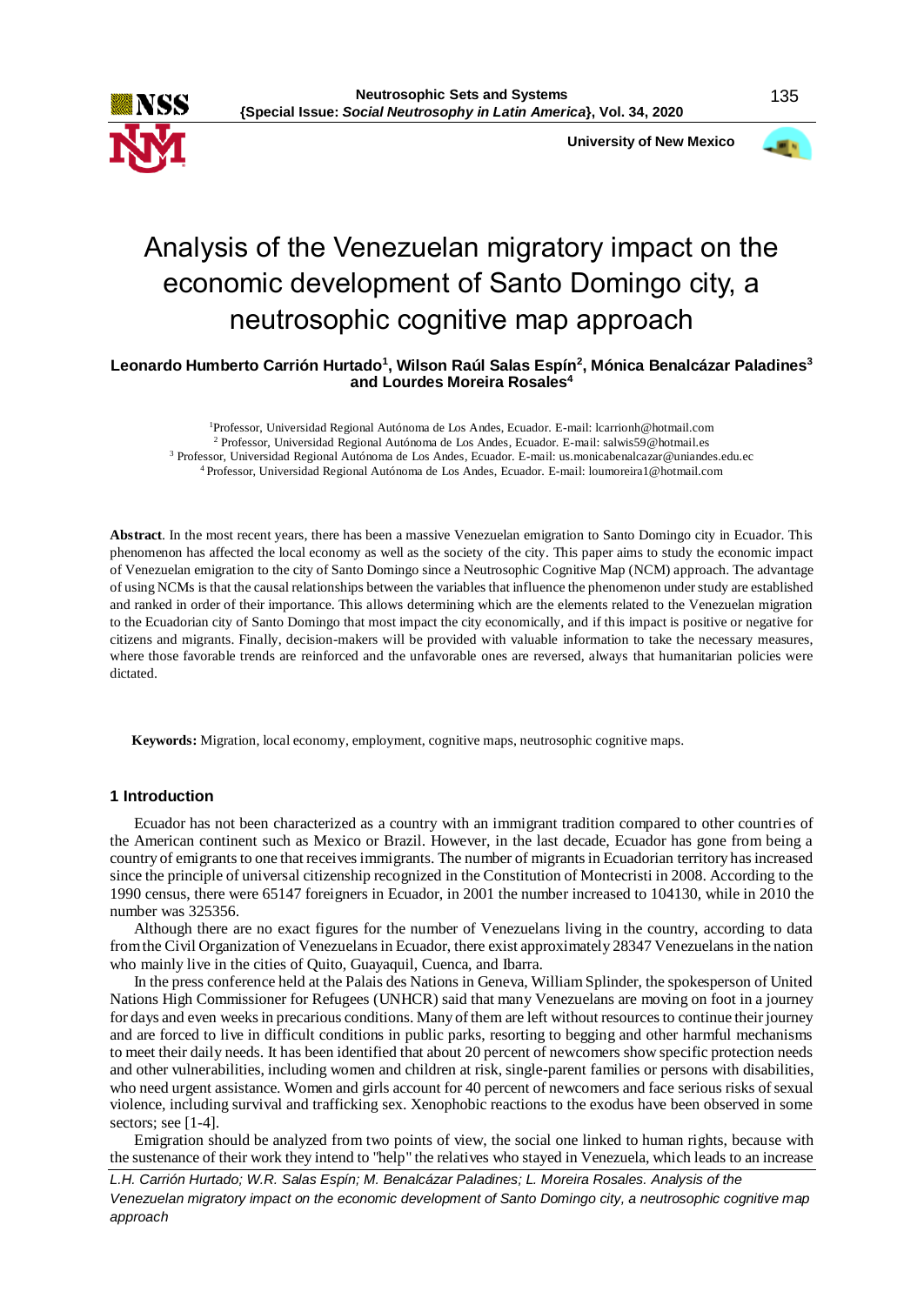

 **University of New Mexico**



# Analysis of the Venezuelan migratory impact on the economic development of Santo Domingo city, a neutrosophic cognitive map approach

**Leonardo Humberto Carrión Hurtado<sup>1</sup> , Wilson Raúl Salas Espín<sup>2</sup> , Mónica Benalcázar Paladines<sup>3</sup> and Lourdes Moreira Rosales<sup>4</sup>**

Professor, Universidad Regional Autónoma de Los Andes, Ecuador. E-mail: lcarrionh@hotmail.com Professor, Universidad Regional Autónoma de Los Andes, Ecuador. E-mail: salwis59@hotmail.es Professor, Universidad Regional Autónoma de Los Andes, Ecuador. E-mail: us.monicabenalcazar@uniandes.edu.ec Professor, Universidad Regional Autónoma de Los Andes, Ecuador. E-mail: loumoreira1@hotmail.com

**Abstract**. In the most recent years, there has been a massive Venezuelan emigration to Santo Domingo city in Ecuador. This phenomenon has affected the local economy as well as the society of the city. This paper aims to study the economic impact of Venezuelan emigration to the city of Santo Domingo since a Neutrosophic Cognitive Map (NCM) approach. The advantage of using NCMs is that the causal relationships between the variables that influence the phenomenon under study are established and ranked in order of their importance. This allows determining which are the elements related to the Venezuelan migration to the Ecuadorian city of Santo Domingo that most impact the city economically, and if this impact is positive or negative for citizens and migrants. Finally, decision-makers will be provided with valuable information to take the necessary measures, where those favorable trends are reinforced and the unfavorable ones are reversed, always that humanitarian policies were dictated.

**Keywords:** Migration, local economy, employment, cognitive maps, neutrosophic cognitive maps.

## **1 Introduction**

Ecuador has not been characterized as a country with an immigrant tradition compared to other countries of the American continent such as Mexico or Brazil. However, in the last decade, Ecuador has gone from being a country of emigrants to one that receives immigrants. The number of migrants in Ecuadorian territory has increased since the principle of universal citizenship recognized in the Constitution of Montecristi in 2008. According to the 1990 census, there were 65147 foreigners in Ecuador, in 2001 the number increased to 104130, while in 2010 the number was 325356.

Although there are no exact figures for the number of Venezuelans living in the country, according to data from the Civil Organization of Venezuelans in Ecuador, there exist approximately 28347 Venezuelans in the nation who mainly live in the cities of Quito, Guayaquil, Cuenca, and Ibarra.

In the press conference held at the Palais des Nations in Geneva, William Splinder, the spokesperson of United Nations High Commissioner for Refugees (UNHCR) said that many Venezuelans are moving on foot in a journey for days and even weeks in precarious conditions. Many of them are left without resources to continue their journey and are forced to live in difficult conditions in public parks, resorting to begging and other harmful mechanisms to meet their daily needs. It has been identified that about 20 percent of newcomers show specific protection needs and other vulnerabilities, including women and children at risk, single-parent families or persons with disabilities, who need urgent assistance. Women and girls account for 40 percent of newcomers and face serious risks of sexual violence, including survival and trafficking sex. Xenophobic reactions to the exodus have been observed in some sectors; see [1-4].

Emigration should be analyzed from two points of view, the social one linked to human rights, because with the sustenance of their work they intend to "help" the relatives who stayed in Venezuela, which leads to an increase

*L.H. Carrión Hurtado; W.R. Salas Espín; M. Benalcázar Paladines; L. Moreira Rosales. Analysis of the* 

*Venezuelan migratory impact on the economic development of Santo Domingo city, a neutrosophic cognitive map approach*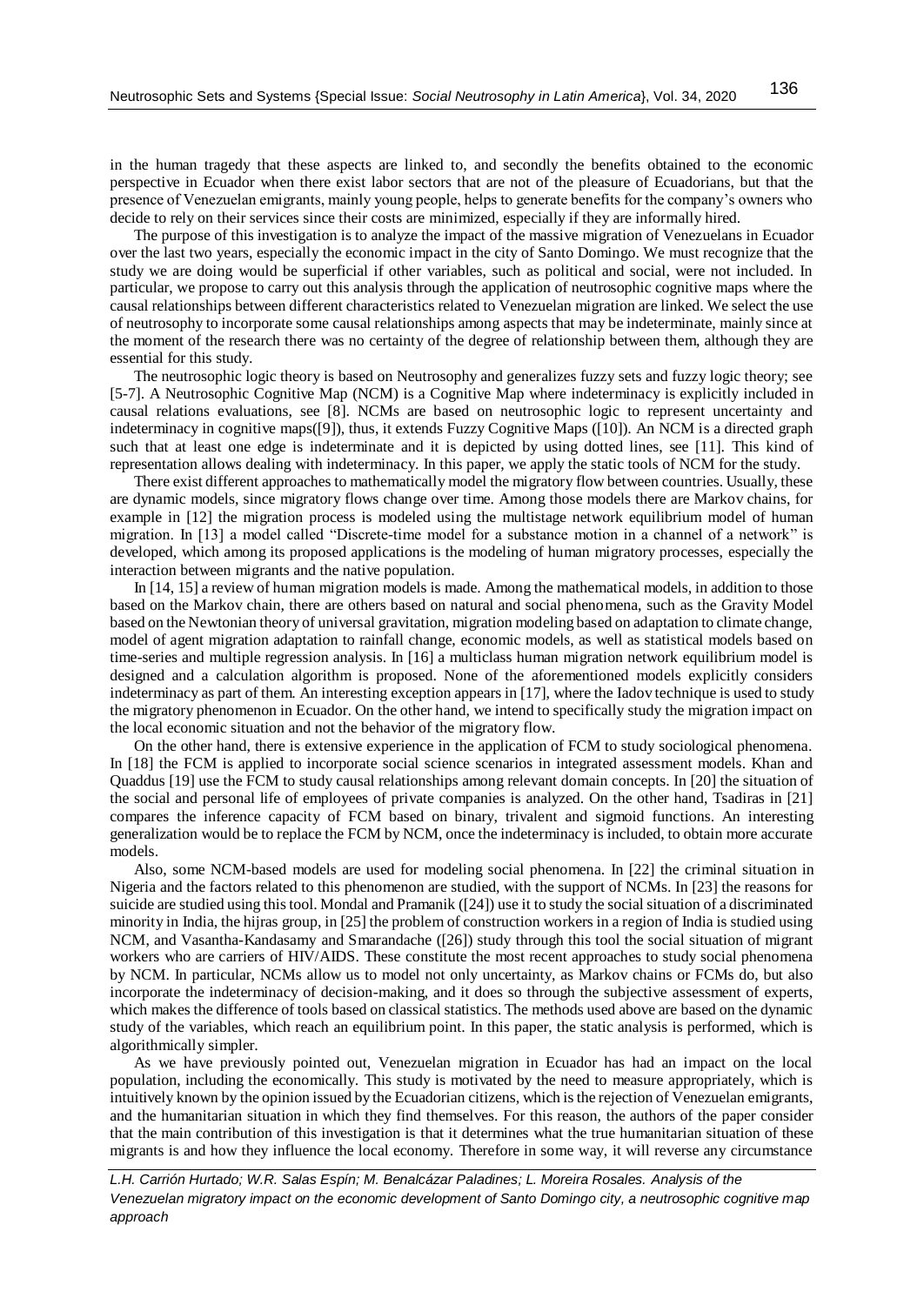in the human tragedy that these aspects are linked to, and secondly the benefits obtained to the economic perspective in Ecuador when there exist labor sectors that are not of the pleasure of Ecuadorians, but that the presence of Venezuelan emigrants, mainly young people, helps to generate benefits for the company's owners who decide to rely on their services since their costs are minimized, especially if they are informally hired.

The purpose of this investigation is to analyze the impact of the massive migration of Venezuelans in Ecuador over the last two years, especially the economic impact in the city of Santo Domingo. We must recognize that the study we are doing would be superficial if other variables, such as political and social, were not included. In particular, we propose to carry out this analysis through the application of neutrosophic cognitive maps where the causal relationships between different characteristics related to Venezuelan migration are linked. We select the use of neutrosophy to incorporate some causal relationships among aspects that may be indeterminate, mainly since at the moment of the research there was no certainty of the degree of relationship between them, although they are essential for this study.

The neutrosophic logic theory is based on Neutrosophy and generalizes fuzzy sets and fuzzy logic theory; see [5-7]. A Neutrosophic Cognitive Map (NCM) is a Cognitive Map where indeterminacy is explicitly included in causal relations evaluations, see [8]. NCMs are based on neutrosophic logic to represent uncertainty and indeterminacy in cognitive maps([9]), thus, it extends Fuzzy Cognitive Maps ([10]). An NCM is a directed graph such that at least one edge is indeterminate and it is depicted by using dotted lines, see [11]. This kind of representation allows dealing with indeterminacy. In this paper, we apply the static tools of NCM for the study.

There exist different approaches to mathematically model the migratory flow between countries. Usually, these are dynamic models, since migratory flows change over time. Among those models there are Markov chains, for example in [12] the migration process is modeled using the multistage network equilibrium model of human migration. In [13] a model called "Discrete-time model for a substance motion in a channel of a network" is developed, which among its proposed applications is the modeling of human migratory processes, especially the interaction between migrants and the native population.

In [14, 15] a review of human migration models is made. Among the mathematical models, in addition to those based on the Markov chain, there are others based on natural and social phenomena, such as the Gravity Model based on the Newtonian theory of universal gravitation, migration modeling based on adaptation to climate change, model of agent migration adaptation to rainfall change, economic models, as well as statistical models based on time-series and multiple regression analysis. In [16] a multiclass human migration network equilibrium model is designed and a calculation algorithm is proposed. None of the aforementioned models explicitly considers indeterminacy as part of them. An interesting exception appears in [17], where the Iadov technique is used to study the migratory phenomenon in Ecuador. On the other hand, we intend to specifically study the migration impact on the local economic situation and not the behavior of the migratory flow.

On the other hand, there is extensive experience in the application of FCM to study sociological phenomena. In [18] the FCM is applied to incorporate social science scenarios in integrated assessment models. Khan and Quaddus [19] use the FCM to study causal relationships among relevant domain concepts. In [20] the situation of the social and personal life of employees of private companies is analyzed. On the other hand, Tsadiras in [21] compares the inference capacity of FCM based on binary, trivalent and sigmoid functions. An interesting generalization would be to replace the FCM by NCM, once the indeterminacy is included, to obtain more accurate models.

Also, some NCM-based models are used for modeling social phenomena. In [22] the criminal situation in Nigeria and the factors related to this phenomenon are studied, with the support of NCMs. In [23] the reasons for suicide are studied using this tool. Mondal and Pramanik ([24]) use it to study the social situation of a discriminated minority in India, the hijras group, in [25] the problem of construction workers in a region of India is studied using NCM, and Vasantha-Kandasamy and Smarandache ([26]) study through this tool the social situation of migrant workers who are carriers of HIV/AIDS. These constitute the most recent approaches to study social phenomena by NCM. In particular, NCMs allow us to model not only uncertainty, as Markov chains or FCMs do, but also incorporate the indeterminacy of decision-making, and it does so through the subjective assessment of experts, which makes the difference of tools based on classical statistics. The methods used above are based on the dynamic study of the variables, which reach an equilibrium point. In this paper, the static analysis is performed, which is algorithmically simpler.

As we have previously pointed out, Venezuelan migration in Ecuador has had an impact on the local population, including the economically. This study is motivated by the need to measure appropriately, which is intuitively known by the opinion issued by the Ecuadorian citizens, which is the rejection of Venezuelan emigrants, and the humanitarian situation in which they find themselves. For this reason, the authors of the paper consider that the main contribution of this investigation is that it determines what the true humanitarian situation of these migrants is and how they influence the local economy. Therefore in some way, it will reverse any circumstance

*L.H. Carrión Hurtado; W.R. Salas Espín; M. Benalcázar Paladines; L. Moreira Rosales. Analysis of the Venezuelan migratory impact on the economic development of Santo Domingo city, a neutrosophic cognitive map approach*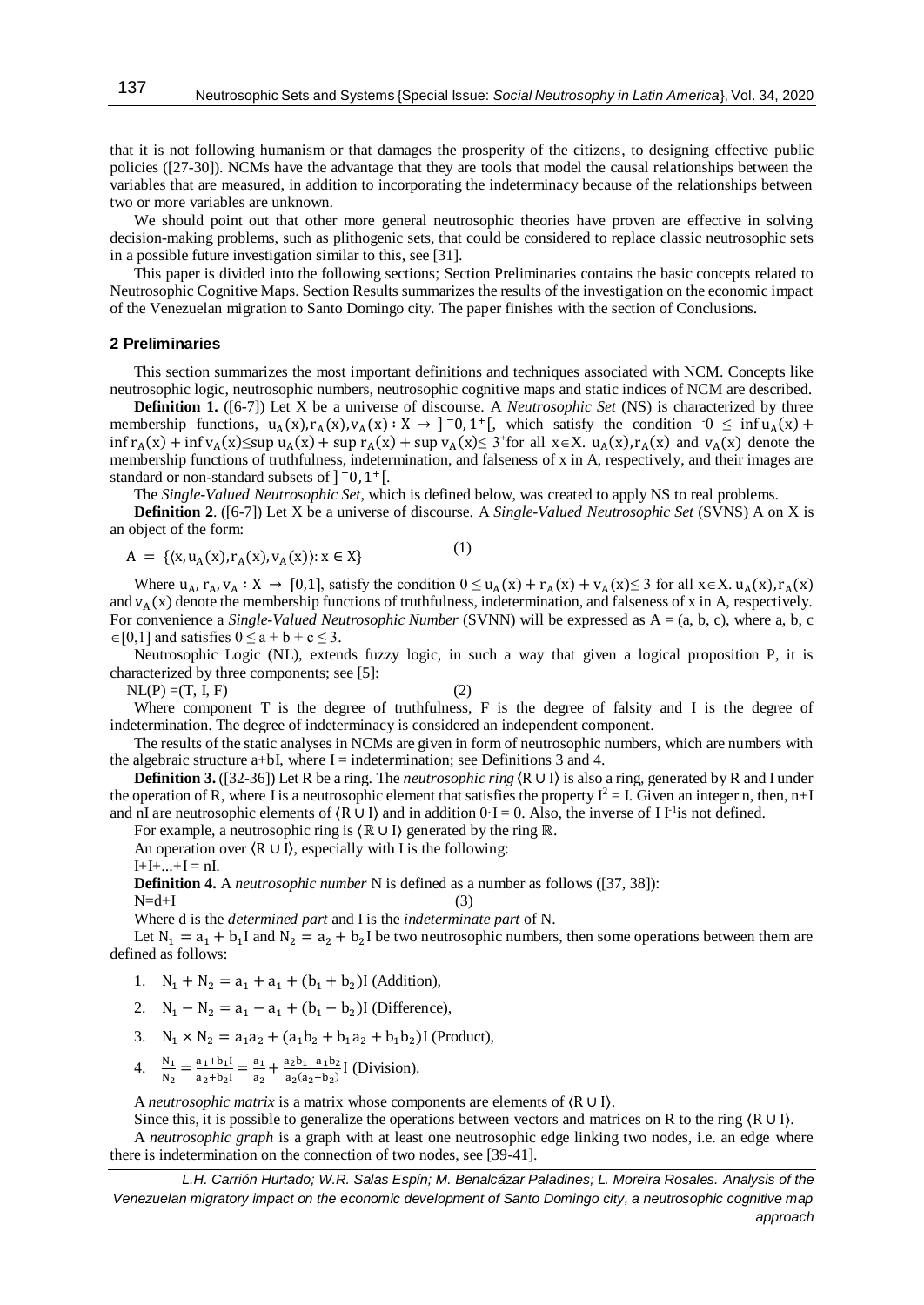that it is not following humanism or that damages the prosperity of the citizens, to designing effective public policies ([27-30]). NCMs have the advantage that they are tools that model the causal relationships between the variables that are measured, in addition to incorporating the indeterminacy because of the relationships between two or more variables are unknown.

We should point out that other more general neutrosophic theories have proven are effective in solving decision-making problems, such as plithogenic sets, that could be considered to replace classic neutrosophic sets in a possible future investigation similar to this, see [31].

This paper is divided into the following sections; Section Preliminaries contains the basic concepts related to Neutrosophic Cognitive Maps. Section Results summarizes the results of the investigation on the economic impact of the Venezuelan migration to Santo Domingo city. The paper finishes with the section of Conclusions.

#### **2 Preliminaries**

This section summarizes the most important definitions and techniques associated with NCM. Concepts like neutrosophic logic, neutrosophic numbers, neutrosophic cognitive maps and static indices of NCM are described.

**Definition 1.** ([6-7]) Let X be a universe of discourse. A *Neutrosophic Set* (NS) is characterized by three membership functions,  $u_A(x), r_A(x), v_A(x) : X \to ]-0, 1^+[$ , which satisfy the condition  $0 \le \inf u_A(x) +$  $\inf r_A(x) + \inf v_A(x) \leq \sup u_A(x) + \sup r_A(x) + \sup v_A(x) \leq 3$  for all  $x \in X$ .  $u_A(x)$ ,  $r_A(x)$  and  $v_A(x)$  denote the membership functions of truthfulness, indetermination, and falseness of x in A, respectively, and their images are standard or non-standard subsets of  $]$ <sup>-</sup>0, 1<sup>+</sup>[.

The *Single-Valued Neutrosophic Set*, which is defined below, was created to apply NS to real problems.

**Definition 2**. ([6-7]) Let X be a universe of discourse. A *Single-Valued Neutrosophic Set* (SVNS) A on X is an object of the form:

$$
A = \{ \langle x, u_A(x), r_A(x), v_A(x) \rangle : x \in X \}
$$
 (1)

Where  $u_A$ ,  $r_A$ ,  $v_A : X \to [0,1]$ , satisfy the condition  $0 \le u_A(x) + r_A(x) + v_A(x) \le 3$  for all  $x \in X$ .  $u_A(x)$ ,  $r_A(x)$ and  $v_A(x)$  denote the membership functions of truthfulness, indetermination, and falseness of x in A, respectively. For convenience a *Single-Valued Neutrosophic Number* (SVNN) will be expressed as A = (a, b, c), where a, b, c  $\in [0,1]$  and satisfies  $0 \le a + b + c \le 3$ .

Neutrosophic Logic (NL), extends fuzzy logic, in such a way that given a logical proposition P, it is characterized by three components; see [5]:

 $NL(P) = (T, I, F)$  (2)

Where component T is the degree of truthfulness, F is the degree of falsity and I is the degree of indetermination. The degree of indeterminacy is considered an independent component.

The results of the static analyses in NCMs are given in form of neutrosophic numbers, which are numbers with the algebraic structure a+bI, where  $I =$  indetermination; see Definitions 3 and 4.

**Definition 3.** ([32-36]) Let R be a ring. The *neutrosophic ring*  $\langle R \cup I \rangle$  is also a ring, generated by R and I under the operation of R, where I is a neutrosophic element that satisfies the property  $I^2 = I$ . Given an integer n, then, n+I and nI are neutrosophic elements of  $(R \cup I)$  and in addition  $0-I = 0$ . Also, the inverse of I I<sup>-1</sup>is not defined.

For example, a neutrosophic ring is 〈ℝ ∪ I〉 generated by the ring ℝ.

An operation over  $(R ∪ I)$ , especially with I is the following:

 $I+I+...+I = nI.$ 

**Definition 4.** A *neutrosophic number* N is defined as a number as follows ([37, 38]):  $N=d+I$  (3)

Where d is the *determined part* and I is the *indeterminate part* of N.

Let  $N_1 = a_1 + b_1 I$  and  $N_2 = a_2 + b_2 I$  be two neutrosophic numbers, then some operations between them are defined as follows:

- 1.  $N_1 + N_2 = a_1 + a_1 + (b_1 + b_2)$ I (Addition),
- 2.  $N_1 N_2 = a_1 a_1 + (b_1 b_2)$ I (Difference),
- 3.  $N_1 \times N_2 = a_1 a_2 + (a_1 b_2 + b_1 a_2 + b_1 b_2)$ I (Product),
- 4.  $\frac{N_1}{N_2} = \frac{a_1 + b_1 I}{a_2 + b_2 I}$  $\frac{a_1+b_1I}{a_2+b_2I} = \frac{a_1}{a_2}$  $\frac{a_1}{a_2} + \frac{a_2b_1 - a_1b_2}{a_2(a_2+b_2)}$  $\frac{a_2b_1-a_1b_2}{a_2(a_2+b_2)}$  [ (Division).

A *neutrosophic matrix* is a matrix whose components are elements of 〈R ∪ I〉.

Since this, it is possible to generalize the operations between vectors and matrices on R to the ring (R∪I). A *neutrosophic graph* is a graph with at least one neutrosophic edge linking two nodes, i.e. an edge where there is indetermination on the connection of two nodes, see [39-41].

*L.H. Carrión Hurtado; W.R. Salas Espín; M. Benalcázar Paladines; L. Moreira Rosales. Analysis of the Venezuelan migratory impact on the economic development of Santo Domingo city, a neutrosophic cognitive map approach*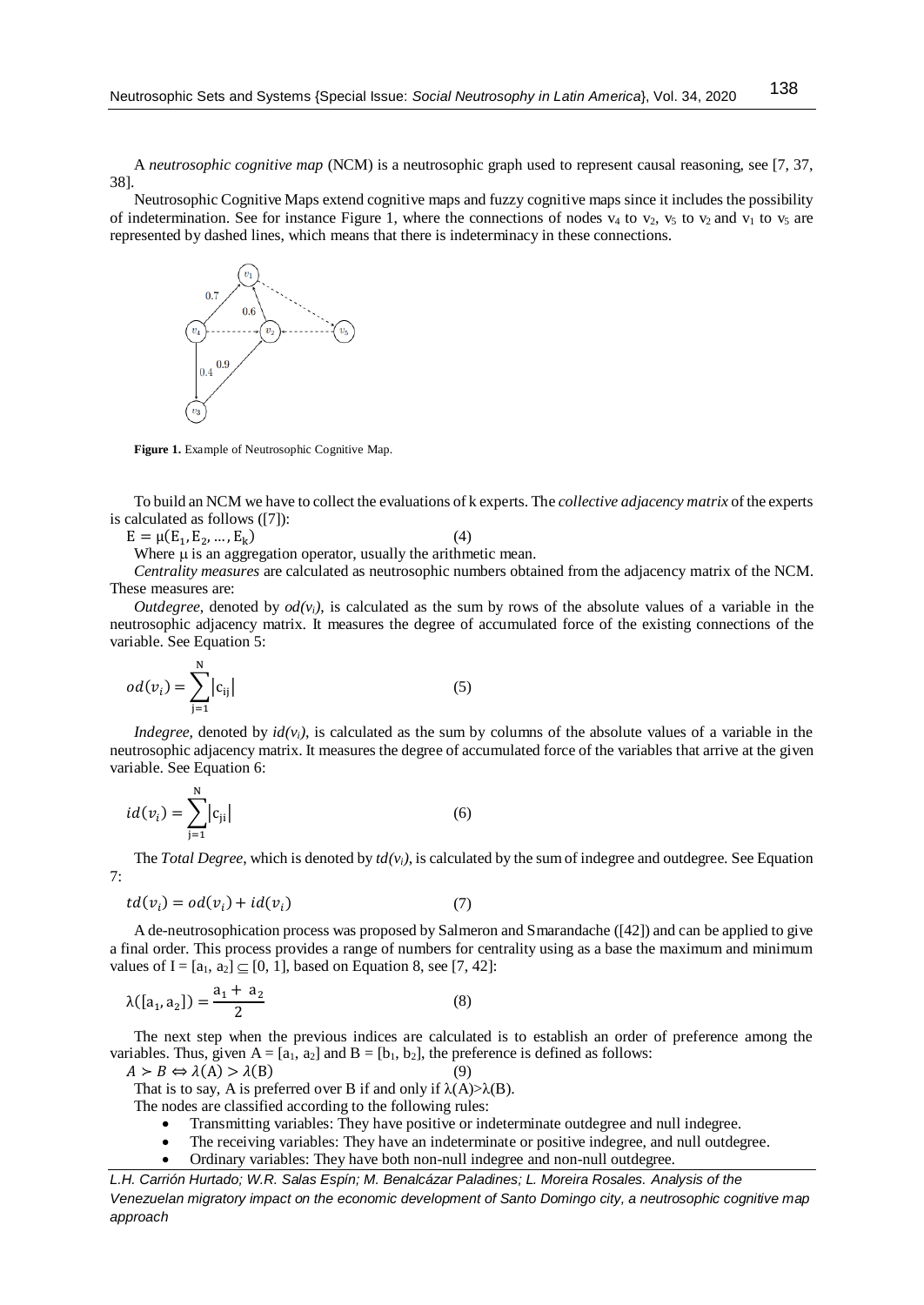A *neutrosophic cognitive map* (NCM) is a neutrosophic graph used to represent causal reasoning, see [7, 37, 38].

Neutrosophic Cognitive Maps extend cognitive maps and fuzzy cognitive maps since it includes the possibility of indetermination. See for instance Figure 1, where the connections of nodes  $v_4$  to  $v_2$ ,  $v_5$  to  $v_2$  and  $v_1$  to  $v_5$  are represented by dashed lines, which means that there is indeterminacy in these connections.



**Figure 1.** Example of Neutrosophic Cognitive Map.

To build an NCM we have to collect the evaluations of k experts. The *collective adjacency matrix* of the experts is calculated as follows ([7]):

 $E = \mu(E_1, E_2, ..., E_k)$  $)$  (4)

Where  $\mu$  is an aggregation operator, usually the arithmetic mean.

*Centrality measures* are calculated as neutrosophic numbers obtained from the adjacency matrix of the NCM. These measures are:

*Outdegree*, denoted by  $od(v_i)$ , is calculated as the sum by rows of the absolute values of a variable in the neutrosophic adjacency matrix. It measures the degree of accumulated force of the existing connections of the variable. See Equation 5:

$$
od(v_i) = \sum_{j=1}^{N} |c_{ij}|
$$
\n(5)

*Indegree*, denoted by  $id(v_i)$ , is calculated as the sum by columns of the absolute values of a variable in the neutrosophic adjacency matrix. It measures the degree of accumulated force of the variables that arrive at the given variable. See Equation 6:

$$
id(v_i) = \sum_{j=1}^{N} |c_{ji}|
$$
 (6)

The *Total Degree*, which is denoted by  $td(v_i)$ , is calculated by the sum of indegree and outdegree. See Equation 7:

$$
td(v_i) = od(v_i) + id(v_i)
$$
\n(7)

A de-neutrosophication process was proposed by Salmeron and Smarandache ([42]) and can be applied to give a final order. This process provides a range of numbers for centrality using as a base the maximum and minimum values of I =  $[a_1, a_2] \subseteq [0, 1]$ , based on Equation 8, see [7, 42]:

$$
\lambda([a_1, a_2]) = \frac{a_1 + a_2}{2} \tag{8}
$$

The next step when the previous indices are calculated is to establish an order of preference among the variables. Thus, given  $A = [a_1, a_2]$  and  $B = [b_1, b_2]$ , the preference is defined as follows:

$$
A > B \Leftrightarrow \lambda(A) > \lambda(B) \tag{9}
$$

That is to say, A is preferred over B if and only if  $\lambda(A) > \lambda(B)$ .

The nodes are classified according to the following rules:

- Transmitting variables: They have positive or indeterminate outdegree and null indegree.
- The receiving variables: They have an indeterminate or positive indegree, and null outdegree.
- Ordinary variables: They have both non-null indegree and non-null outdegree.

*L.H. Carrión Hurtado; W.R. Salas Espín; M. Benalcázar Paladines; L. Moreira Rosales. Analysis of the Venezuelan migratory impact on the economic development of Santo Domingo city, a neutrosophic cognitive map approach*

138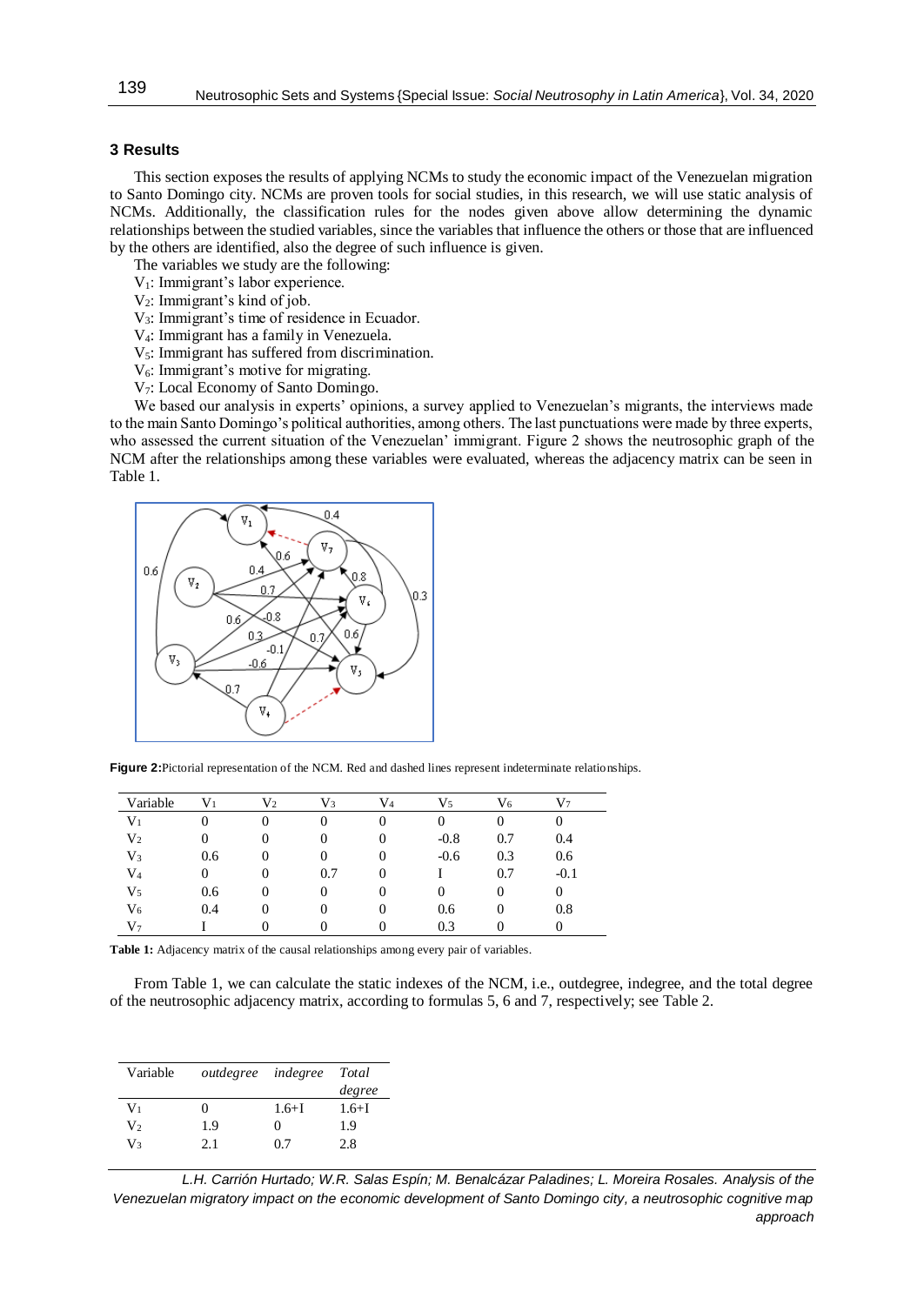## **3 Results**

This section exposes the results of applying NCMs to study the economic impact of the Venezuelan migration to Santo Domingo city. NCMs are proven tools for social studies, in this research, we will use static analysis of NCMs. Additionally, the classification rules for the nodes given above allow determining the dynamic relationships between the studied variables, since the variables that influence the others or those that are influenced by the others are identified, also the degree of such influence is given.

The variables we study are the following:

V1: Immigrant's labor experience.

V2: Immigrant's kind of job.

V3: Immigrant's time of residence in Ecuador.

V4: Immigrant has a family in Venezuela.

 $V_5$ : Immigrant has suffered from discrimination.

 $V_6$ : Immigrant's motive for migrating.

V7: Local Economy of Santo Domingo.

We based our analysis in experts' opinions, a survey applied to Venezuelan's migrants, the interviews made to the main Santo Domingo's political authorities, among others. The last punctuations were made by three experts, who assessed the current situation of the Venezuelan' immigrant. Figure 2 shows the neutrosophic graph of the NCM after the relationships among these variables were evaluated, whereas the adjacency matrix can be seen in Table 1.



**Figure 2:**Pictorial representation of the NCM. Red and dashed lines represent indeterminate relationships.

| Variable       | $\rm V_1$ | $\rm V_2$        | V3       | V4       | V5     | V6  | V۶     |
|----------------|-----------|------------------|----------|----------|--------|-----|--------|
| $\rm V_1$      |           |                  | 0        | 0        |        |     |        |
| V <sub>2</sub> |           |                  | 0        | 0        | $-0.8$ | 0.7 | 0.4    |
| $V_3$          | 0.6       |                  | $\theta$ | $\theta$ | $-0.6$ | 0.3 | 0.6    |
| $\rm V_4$      |           | 0                | 0.7      | 0        |        | 0.7 | $-0.1$ |
| $V_5$          | 0.6       | $\left( \right)$ | 0        |          |        | 0   |        |
| $V_6$          | 0.4       | O                | 0        |          | 0.6    | 0   | 0.8    |
| $V_7$          |           |                  |          |          | 0.3    |     |        |

**Table 1:** Adjacency matrix of the causal relationships among every pair of variables.

From Table 1, we can calculate the static indexes of the NCM, i.e., outdegree, indegree, and the total degree of the neutrosophic adjacency matrix, according to formulas 5, 6 and 7, respectively; see Table 2.

| Variable       | <i>outdegree indegree</i> |              | Total     |
|----------------|---------------------------|--------------|-----------|
|                |                           |              | degree    |
| $V_1$          | 0                         | $1.6 + I$    | $1.6 + I$ |
| V <sub>2</sub> | 1.9                       | $\mathbf{0}$ | 1.9       |
| V3             | 2.1                       | 07           | 2.8       |

*L.H. Carrión Hurtado; W.R. Salas Espín; M. Benalcázar Paladines; L. Moreira Rosales. Analysis of the Venezuelan migratory impact on the economic development of Santo Domingo city, a neutrosophic cognitive map approach*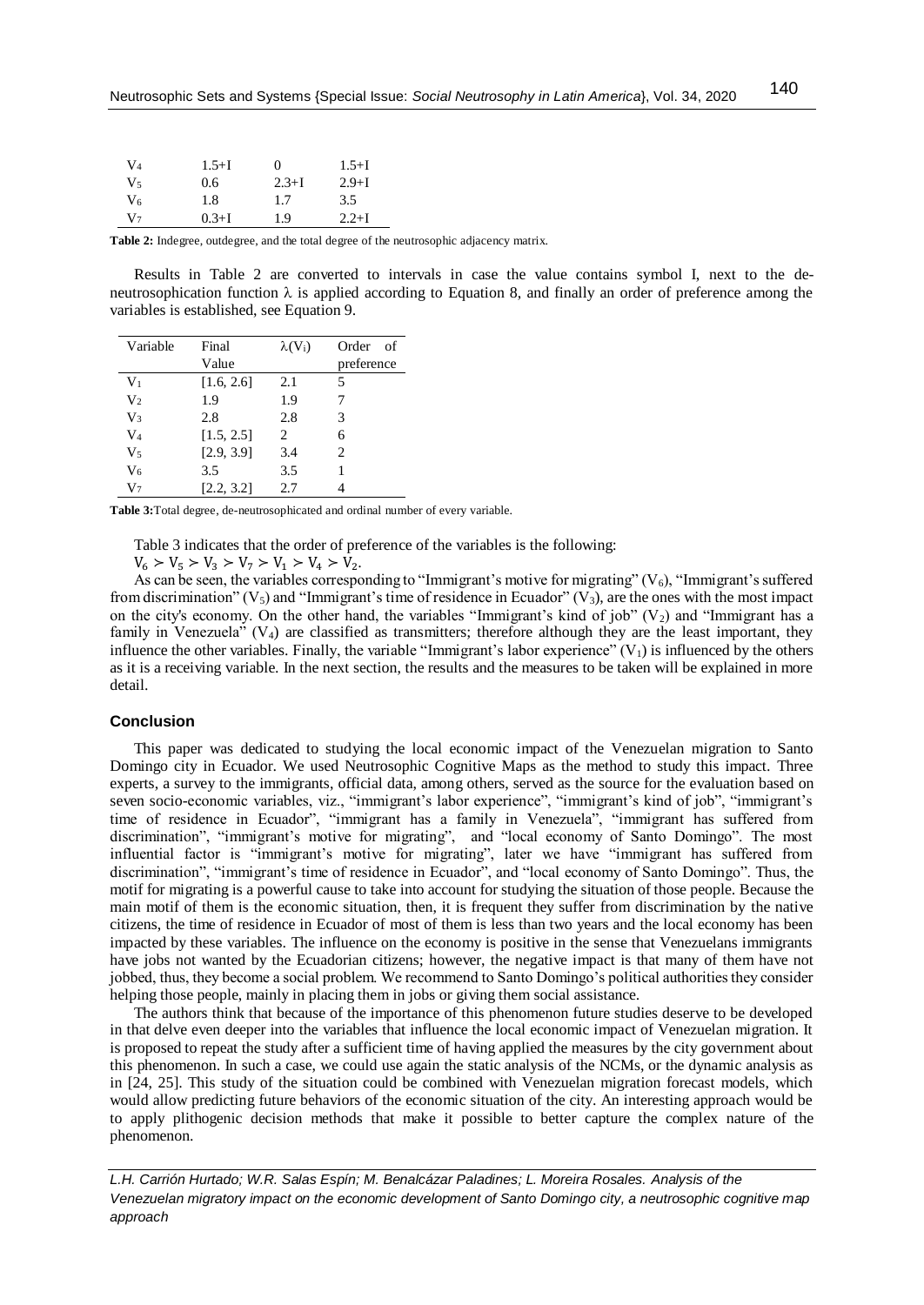| $V_4$   | $1.5 + I$ | $\theta$  | $1.5 + I$ |
|---------|-----------|-----------|-----------|
| $V_{5}$ | 0.6       | $2.3 + I$ | $2.9 + I$ |
| V6      | 1.8       | 1.7       | 3.5       |
| $V_7$   | $0.3 + I$ | 1.9       | $2.2 + I$ |

**Table 2:** Indegree, outdegree, and the total degree of the neutrosophic adjacency matrix.

Results in Table 2 are converted to intervals in case the value contains symbol I, next to the deneutrosophication function  $\lambda$  is applied according to Equation 8, and finally an order of preference among the variables is established, see Equation 9.

| Variable       | Final      | $\lambda(V_i)$ | Order<br>- of               |
|----------------|------------|----------------|-----------------------------|
|                | Value      |                | preference                  |
| V <sub>1</sub> | [1.6, 2.6] | 2.1            | 5                           |
| V <sub>2</sub> | 1.9        | 1.9            |                             |
| $V_3$          | 2.8        | 2.8            | 3                           |
| $V_4$          | [1.5, 2.5] | $\mathfrak{D}$ | 6                           |
| $V_5$          | [2.9, 3.9] | 3.4            | $\mathcal{D}_{\mathcal{L}}$ |
| V <sub>6</sub> | 3.5        | 3.5            |                             |
| $V_7$          | [2.2, 3.2] | 2.7            |                             |

**Table 3:**Total degree, de-neutrosophicated and ordinal number of every variable.

Table 3 indicates that the order of preference of the variables is the following:

 $V_6 > V_5 > V_3 > V_7 > V_1 > V_4 > V_2$ .

As can be seen, the variables corresponding to "Immigrant's motive for migrating"  $(V_6)$ , "Immigrant's suffered from discrimination" ( $V_5$ ) and "Immigrant's time of residence in Ecuador" ( $V_3$ ), are the ones with the most impact on the city's economy. On the other hand, the variables "Immigrant's kind of job"  $(V_2)$  and "Immigrant has a family in Venezuela"  $(V_4)$  are classified as transmitters; therefore although they are the least important, they influence the other variables. Finally, the variable "Immigrant's labor experience"  $(V_1)$  is influenced by the others as it is a receiving variable. In the next section, the results and the measures to be taken will be explained in more detail.

## **Conclusion**

This paper was dedicated to studying the local economic impact of the Venezuelan migration to Santo Domingo city in Ecuador. We used Neutrosophic Cognitive Maps as the method to study this impact. Three experts, a survey to the immigrants, official data, among others, served as the source for the evaluation based on seven socio-economic variables, viz., "immigrant's labor experience", "immigrant's kind of job", "immigrant's time of residence in Ecuador", "immigrant has a family in Venezuela", "immigrant has suffered from discrimination", "immigrant's motive for migrating", and "local economy of Santo Domingo". The most influential factor is "immigrant's motive for migrating", later we have "immigrant has suffered from discrimination", "immigrant's time of residence in Ecuador", and "local economy of Santo Domingo". Thus, the motif for migrating is a powerful cause to take into account for studying the situation of those people. Because the main motif of them is the economic situation, then, it is frequent they suffer from discrimination by the native citizens, the time of residence in Ecuador of most of them is less than two years and the local economy has been impacted by these variables. The influence on the economy is positive in the sense that Venezuelans immigrants have jobs not wanted by the Ecuadorian citizens; however, the negative impact is that many of them have not jobbed, thus, they become a social problem. We recommend to Santo Domingo's political authorities they consider helping those people, mainly in placing them in jobs or giving them social assistance.

The authors think that because of the importance of this phenomenon future studies deserve to be developed in that delve even deeper into the variables that influence the local economic impact of Venezuelan migration. It is proposed to repeat the study after a sufficient time of having applied the measures by the city government about this phenomenon. In such a case, we could use again the static analysis of the NCMs, or the dynamic analysis as in [24, 25]. This study of the situation could be combined with Venezuelan migration forecast models, which would allow predicting future behaviors of the economic situation of the city. An interesting approach would be to apply plithogenic decision methods that make it possible to better capture the complex nature of the phenomenon.

*L.H. Carrión Hurtado; W.R. Salas Espín; M. Benalcázar Paladines; L. Moreira Rosales. Analysis of the Venezuelan migratory impact on the economic development of Santo Domingo city, a neutrosophic cognitive map approach*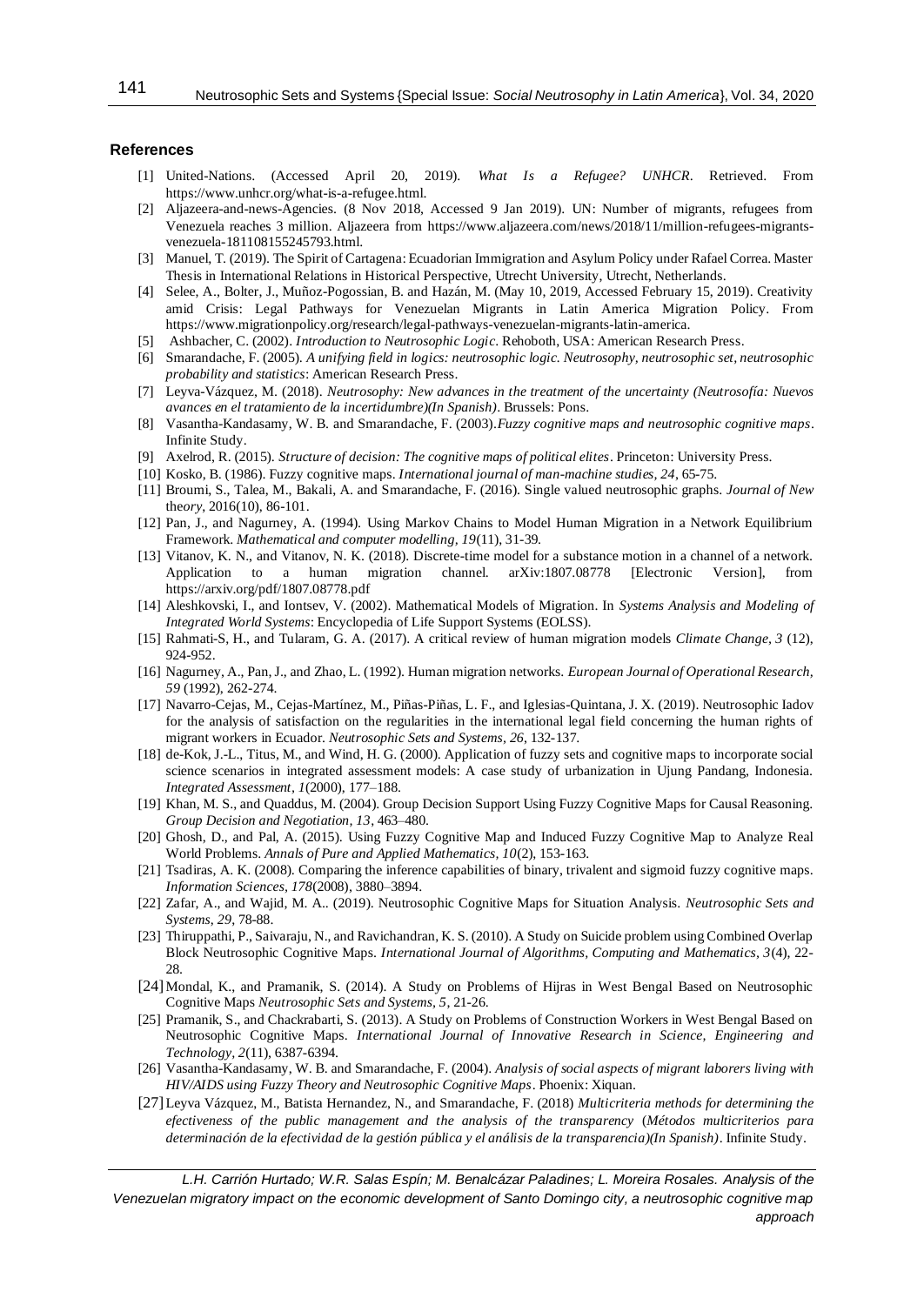## **References**

- [1] United-Nations. (Accessed April 20, 2019). *What Is a Refugee? UNHCR*. Retrieved. From [https://www.unhcr.org/what-is-a-refugee.html.](https://www.unhcr.org/what-is-a-refugee.html)
- [2] Aljazeera-and-news-Agencies. (8 Nov 2018, Accessed 9 Jan 2019). UN: Number of migrants, refugees from Venezuela reaches 3 million. Aljazeera from [https://www.aljazeera.com/news/2018/11/million-refugees-migrants](https://www.aljazeera.com/news/2018/11/million-refugees-migrants-venezuela-181108155245793.html)[venezuela-181108155245793.html.](https://www.aljazeera.com/news/2018/11/million-refugees-migrants-venezuela-181108155245793.html)
- [3] Manuel, T. (2019). The Spirit of Cartagena: Ecuadorian Immigration and Asylum Policy under Rafael Correa. Master Thesis in International Relations in Historical Perspective, Utrecht University, Utrecht, Netherlands.
- [4] Selee, A., Bolter, J., Muñoz-Pogossian, B. and Hazán, M. (May 10, 2019, Accessed February 15, 2019). Creativity amid Crisis: Legal Pathways for Venezuelan Migrants in Latin America Migration Policy. From [https://www.migrationpolicy.org/research/legal-pathways-venezuelan-migrants-latin-america.](https://www.migrationpolicy.org/research/legal-pathways-venezuelan-migrants-latin-america)
- [5] Ashbacher, C. (2002). *Introduction to Neutrosophic Logic*. Rehoboth, USA: American Research Press.
- [6] Smarandache, F. (2005). *A unifying field in logics: neutrosophic logic. Neutrosophy, neutrosophic set, neutrosophic probability and statistics*: American Research Press.
- [7] Leyva-Vázquez, M. (2018). *Neutrosophy: New advances in the treatment of the uncertainty (Neutrosofía: Nuevos avances en el tratamiento de la incertidumbre)(In Spanish)*. Brussels: Pons.
- [8] Vasantha-Kandasamy, W. B. and Smarandache, F. (2003).*Fuzzy cognitive maps and neutrosophic cognitive maps*. Infinite Study.
- [9] Axelrod, R. (2015). *Structure of decision: The cognitive maps of political elites*. Princeton: University Press.
- [10] Kosko, B. (1986). Fuzzy cognitive maps. *International journal of man-machine studies, 24*, 65-75.
- [11] Broumi, S., Talea, M., Bakali, A. and Smarandache, F. (2016). Single valued neutrosophic graphs. *Journal of New*  the*ory*, 2016(10), 86-101.
- [12] Pan, J., and Nagurney, A. (1994). Using Markov Chains to Model Human Migration in a Network Equilibrium Framework. *Mathematical and computer modelling, 19*(11), 31-39.
- [13] Vitanov, K. N., and Vitanov, N. K. (2018). Discrete-time model for a substance motion in a channel of a network. Application to a human migration channel. arXiv:1807.08778 [Electronic Version], from <https://arxiv.org/pdf/1807.08778.pdf>
- [14] Aleshkovski, I., and Iontsev, V. (2002). Mathematical Models of Migration. In *Systems Analysis and Modeling of Integrated World Systems*: Encyclopedia of Life Support Systems (EOLSS).
- [15] Rahmati-S, H., and Tularam, G. A. (2017). A critical review of human migration models *Climate Change, 3* (12), 924-952.
- [16] Nagurney, A., Pan, J., and Zhao, L. (1992). Human migration networks. *European Journal of Operational Research, 59* (1992), 262-274.
- [17] Navarro-Cejas, M., Cejas-Martínez, M., Piñas-Piñas, L. F., and Iglesias-Quintana, J. X. (2019). Neutrosophic Iadov for the analysis of satisfaction on the regularities in the international legal field concerning the human rights of migrant workers in Ecuador. *Neutrosophic Sets and Systems, 26*, 132-137.
- [18] de-Kok, J.-L., Titus, M., and Wind, H. G. (2000). Application of fuzzy sets and cognitive maps to incorporate social science scenarios in integrated assessment models: A case study of urbanization in Ujung Pandang, Indonesia. *Integrated Assessment, 1*(2000), 177–188.
- [19] Khan, M. S., and Quaddus, M. (2004). Group Decision Support Using Fuzzy Cognitive Maps for Causal Reasoning. *Group Decision and Negotiation, 13*, 463–480.
- [20] Ghosh, D., and Pal, A. (2015). Using Fuzzy Cognitive Map and Induced Fuzzy Cognitive Map to Analyze Real World Problems. *Annals of Pure and Applied Mathematics, 10*(2), 153-163.
- [21] Tsadiras, A. K. (2008). Comparing the inference capabilities of binary, trivalent and sigmoid fuzzy cognitive maps. *Information Sciences, 178*(2008), 3880–3894.
- [22] Zafar, A., and Wajid, M. A.. (2019). Neutrosophic Cognitive Maps for Situation Analysis. *Neutrosophic Sets and Systems*, *29*, 78-88.
- [23] Thiruppathi, P., Saivaraju, N., and Ravichandran, K. S. (2010). A Study on Suicide problem using Combined Overlap Block Neutrosophic Cognitive Maps. *International Journal of Algorithms, Computing and Mathematics, 3*(4), 22- 28.
- [24] Mondal, K., and Pramanik, S. (2014). A Study on Problems of Hijras in West Bengal Based on Neutrosophic Cognitive Maps *Neutrosophic Sets and Systems, 5*, 21-26.
- [25] Pramanik, S., and Chackrabarti, S. (2013). A Study on Problems of Construction Workers in West Bengal Based on Neutrosophic Cognitive Maps. *International Journal of Innovative Research in Science, Engineering and Technology, 2*(11), 6387-6394.
- [26] Vasantha-Kandasamy, W. B. and Smarandache, F. (2004). *Analysis of social aspects of migrant laborers living with HIV/AIDS using Fuzzy Theory and Neutrosophic Cognitive Maps*. Phoenix: Xiquan.
- [27]Leyva Vázquez, M., Batista Hernandez, N., and Smarandache, F. (2018) *Multicriteria methods for determining the efectiveness of the public management and the analysis of the transparency* (*Métodos multicriterios para determinación de la efectividad de la gestión pública y el análisis de la transparencia)(In Spanish)*. Infinite Study.

*L.H. Carrión Hurtado; W.R. Salas Espín; M. Benalcázar Paladines; L. Moreira Rosales. Analysis of the Venezuelan migratory impact on the economic development of Santo Domingo city, a neutrosophic cognitive map approach*